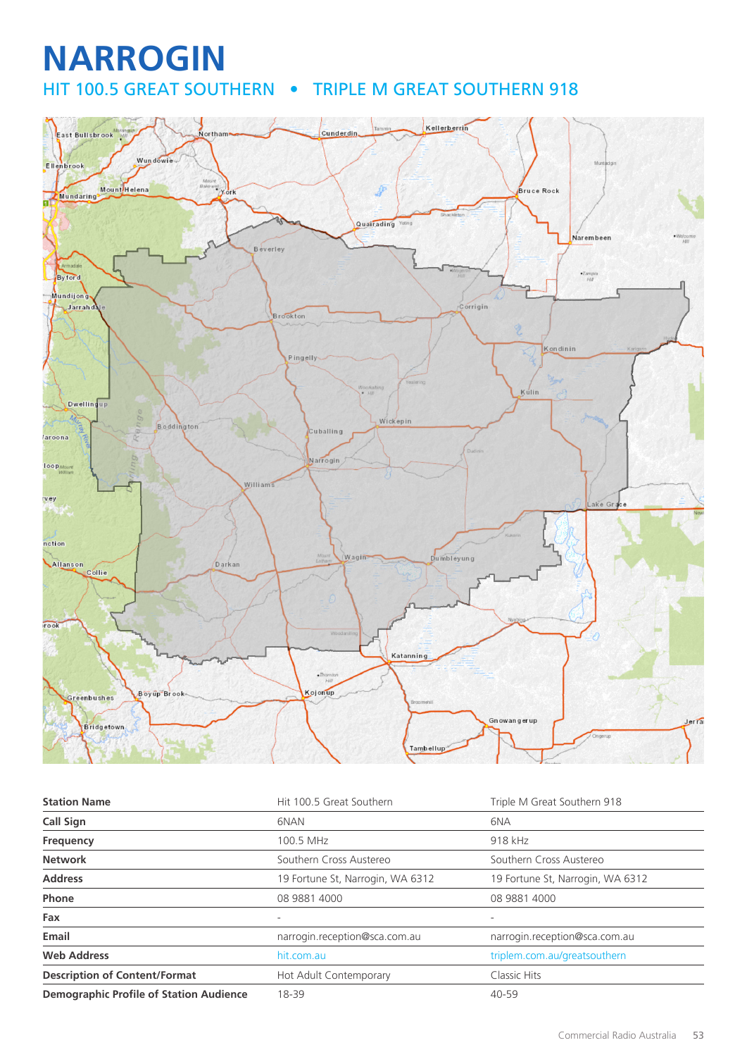## **NARROGIN** HIT 100.5 GREAT SOUTHERN . TRIPLE M GREAT SOUTHERN 918



| <b>Station Name</b>                            | Hit 100.5 Great Southern         | Triple M Great Southern 918      |
|------------------------------------------------|----------------------------------|----------------------------------|
| <b>Call Sign</b>                               | 6NAN                             | 6NA                              |
| Frequency                                      | 100.5 MHz                        | 918 kHz                          |
| <b>Network</b>                                 | Southern Cross Austereo          | Southern Cross Austereo          |
| <b>Address</b>                                 | 19 Fortune St, Narrogin, WA 6312 | 19 Fortune St, Narrogin, WA 6312 |
| Phone                                          | 08 9881 4000                     | 08 9881 4000                     |
| Fax                                            |                                  | ۰                                |
| Email                                          | narrogin.reception@sca.com.au    | narrogin.reception@sca.com.au    |
| <b>Web Address</b>                             | hit.com.au                       | triplem.com.au/greatsouthern     |
| <b>Description of Content/Format</b>           | Hot Adult Contemporary           | Classic Hits                     |
| <b>Demographic Profile of Station Audience</b> | 18-39                            | $40 - 59$                        |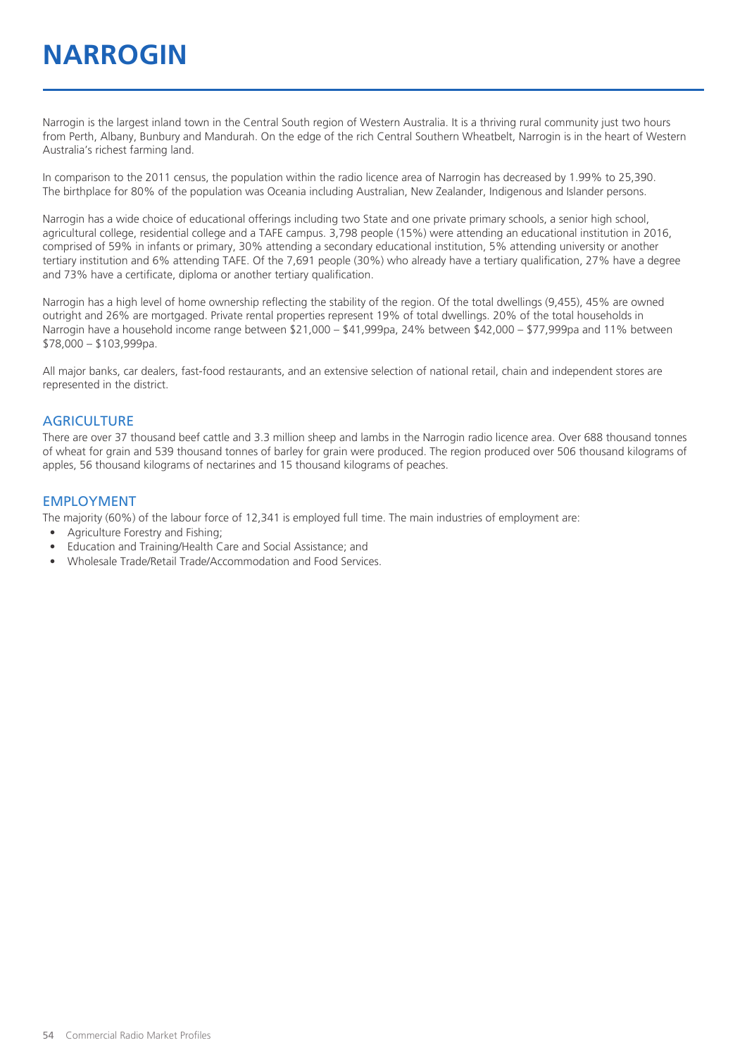# **NARROGIN**

Narrogin is the largest inland town in the Central South region of Western Australia. It is a thriving rural community just two hours from Perth, Albany, Bunbury and Mandurah. On the edge of the rich Central Southern Wheatbelt, Narrogin is in the heart of Western Australia's richest farming land.

In comparison to the 2011 census, the population within the radio licence area of Narrogin has decreased by 1.99% to 25,390. The birthplace for 80% of the population was Oceania including Australian, New Zealander, Indigenous and Islander persons.

Narrogin has a wide choice of educational offerings including two State and one private primary schools, a senior high school, agricultural college, residential college and a TAFE campus. 3,798 people (15%) were attending an educational institution in 2016, comprised of 59% in infants or primary, 30% attending a secondary educational institution, 5% attending university or another tertiary institution and 6% attending TAFE. Of the 7,691 people (30%) who already have a tertiary qualification, 27% have a degree and 73% have a certificate, diploma or another tertiary qualification.

Narrogin has a high level of home ownership reflecting the stability of the region. Of the total dwellings (9,455), 45% are owned outright and 26% are mortgaged. Private rental properties represent 19% of total dwellings. 20% of the total households in Narrogin have a household income range between \$21,000 – \$41,999pa, 24% between \$42,000 – \$77,999pa and 11% between \$78,000 – \$103,999pa.

All major banks, car dealers, fast-food restaurants, and an extensive selection of national retail, chain and independent stores are represented in the district.

#### **AGRICULTURE**

There are over 37 thousand beef cattle and 3.3 million sheep and lambs in the Narrogin radio licence area. Over 688 thousand tonnes of wheat for grain and 539 thousand tonnes of barley for grain were produced. The region produced over 506 thousand kilograms of apples, 56 thousand kilograms of nectarines and 15 thousand kilograms of peaches.

#### EMPLOYMENT

The majority (60%) of the labour force of 12,341 is employed full time. The main industries of employment are:

- Agriculture Forestry and Fishing;
- Education and Training/Health Care and Social Assistance; and
- Wholesale Trade/Retail Trade/Accommodation and Food Services.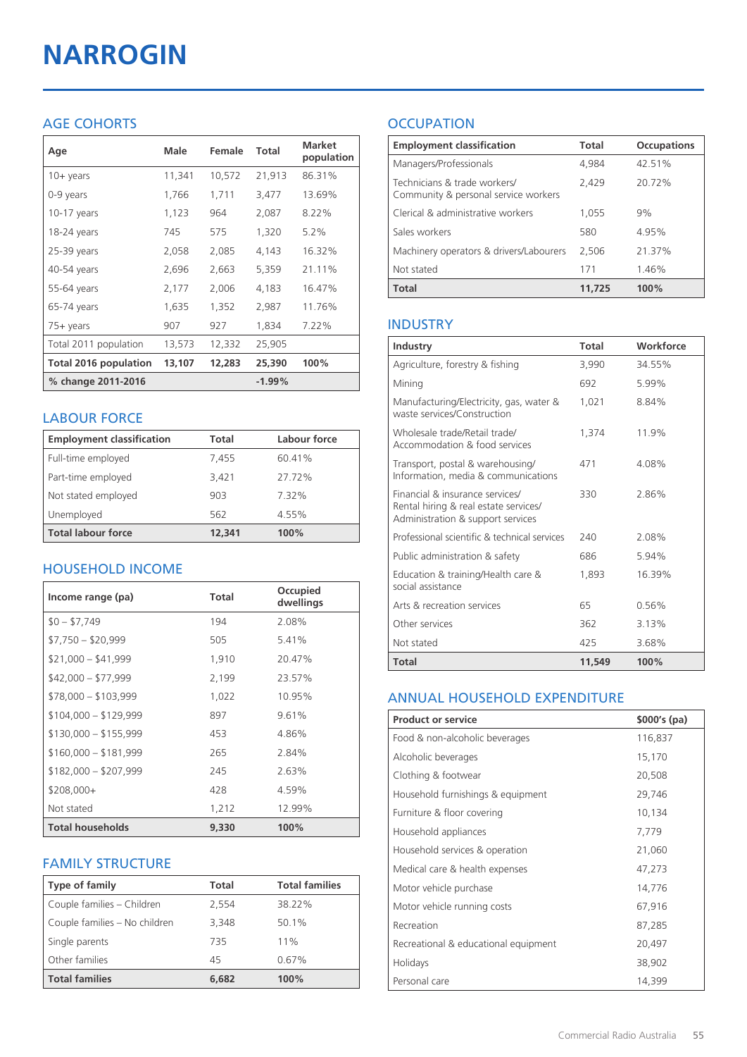# **NARROGIN**

## AGE COHORTS

| Age                          | Male   | Female | Total    | <b>Market</b><br>population |
|------------------------------|--------|--------|----------|-----------------------------|
| $10 + \gamma$ ears           | 11,341 | 10,572 | 21,913   | 86.31%                      |
| 0-9 years                    | 1,766  | 1,711  | 3,477    | 13.69%                      |
| $10-17$ years                | 1,123  | 964    | 2,087    | 8.22%                       |
| 18-24 years                  | 745    | 575    | 1,320    | $5.2\%$                     |
| 25-39 years                  | 2,058  | 2,085  | 4,143    | 16.32%                      |
| 40-54 years                  | 2,696  | 2,663  | 5,359    | 21.11%                      |
| 55-64 years                  | 2,177  | 2,006  | 4,183    | 16.47%                      |
| 65-74 years                  | 1,635  | 1,352  | 2,987    | 11.76%                      |
| 75+ years                    | 907    | 927    | 1,834    | 7.22%                       |
| Total 2011 population        | 13,573 | 12,332 | 25,905   |                             |
| <b>Total 2016 population</b> | 13,107 | 12,283 | 25,390   | 100%                        |
| % change 2011-2016           |        |        | $-1.99%$ |                             |

### LABOUR FORCE

| <b>Employment classification</b> | Total  | Labour force |
|----------------------------------|--------|--------------|
| Full-time employed               | 7,455  | 60.41%       |
| Part-time employed               | 3,421  | 27.72%       |
| Not stated employed              | 903    | 7.32%        |
| Unemployed                       | 562    | 4.55%        |
| <b>Total labour force</b>        | 12,341 | 100%         |

## HOUSEHOLD INCOME

| Income range (pa)       | <b>Total</b> | Occupied<br>dwellings |
|-------------------------|--------------|-----------------------|
| $$0 - $7,749$           | 194          | 2.08%                 |
| $$7,750 - $20,999$      | 505          | 5.41%                 |
| $$21,000 - $41,999$     | 1,910        | 20.47%                |
| $$42,000 - $77,999$     | 2,199        | 23.57%                |
| $$78,000 - $103,999$    | 1,022        | 10.95%                |
| $$104,000 - $129,999$   | 897          | 9.61%                 |
| $$130,000 - $155,999$   | 453          | 4.86%                 |
| $$160,000 - $181,999$   | 265          | 2.84%                 |
| $$182,000 - $207,999$   | 245          | 2.63%                 |
| \$208,000+              | 428          | 4.59%                 |
| Not stated              | 1,212        | 12.99%                |
| <b>Total households</b> | 9,330        | 100%                  |

## FAMILY STRUCTURE

| <b>Type of family</b>         | <b>Total</b> | <b>Total families</b> |
|-------------------------------|--------------|-----------------------|
| Couple families - Children    | 2,554        | 38.22%                |
| Couple families - No children | 3,348        | 50.1%                 |
| Single parents                | 735          | 11%                   |
| Other families                | 45           | 0.67%                 |
| <b>Total families</b>         | 6,682        | 100%                  |

## **OCCUPATION**

| <b>Employment classification</b>                                     | Total  | <b>Occupations</b> |
|----------------------------------------------------------------------|--------|--------------------|
| Managers/Professionals                                               | 4,984  | 42.51%             |
| Technicians & trade workers/<br>Community & personal service workers | 2,429  | 20.72%             |
| Clerical & administrative workers                                    | 1,055  | 9%                 |
| Sales workers                                                        | 580    | 4.95%              |
| Machinery operators & drivers/Labourers                              | 2,506  | 21.37%             |
| Not stated                                                           | 171    | 1.46%              |
| <b>Total</b>                                                         | 11,725 | 100%               |

## INDUSTRY

| Industry                                                                                                      | Total  | Workforce |
|---------------------------------------------------------------------------------------------------------------|--------|-----------|
| Agriculture, forestry & fishing                                                                               | 3,990  | 34.55%    |
| Mining                                                                                                        | 692    | 5.99%     |
| Manufacturing/Electricity, gas, water &<br>waste services/Construction                                        | 1,021  | 8.84%     |
| Wholesale trade/Retail trade/<br>Accommodation & food services                                                | 1.374  | 11.9%     |
| Transport, postal & warehousing/<br>Information, media & communications                                       | 471    | 4.08%     |
| Financial & insurance services/<br>Rental hiring & real estate services/<br>Administration & support services | 330    | 2.86%     |
| Professional scientific & technical services                                                                  | 240    | 2.08%     |
| Public administration & safety                                                                                | 686    | 5.94%     |
| Education & training/Health care &<br>social assistance                                                       | 1,893  | 16.39%    |
| Arts & recreation services                                                                                    | 65     | 0.56%     |
| Other services                                                                                                | 362    | 3.13%     |
| Not stated                                                                                                    | 425    | 3.68%     |
| <b>Total</b>                                                                                                  | 11,549 | 100%      |

#### ANNUAL HOUSEHOLD EXPENDITURE

| <b>Product or service</b>            | $$000's$ (pa) |
|--------------------------------------|---------------|
| Food & non-alcoholic beverages       | 116,837       |
| Alcoholic beverages                  | 15,170        |
| Clothing & footwear                  | 20,508        |
| Household furnishings & equipment    | 29,746        |
| Furniture & floor covering           | 10,134        |
| Household appliances                 | 7,779         |
| Household services & operation       | 21,060        |
| Medical care & health expenses       | 47,273        |
| Motor vehicle purchase               | 14,776        |
| Motor vehicle running costs          | 67,916        |
| Recreation                           | 87,285        |
| Recreational & educational equipment | 20,497        |
| Holidays                             | 38,902        |
| Personal care                        | 14,399        |